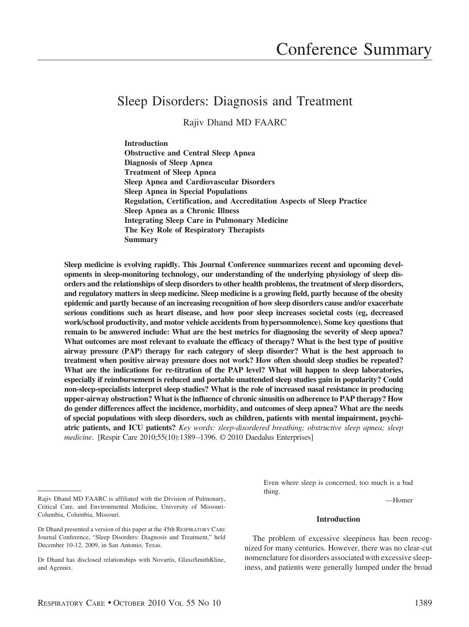# Sleep Disorders: Diagnosis and Treatment

Rajiv Dhand MD FAARC

**Introduction Obstructive and Central Sleep Apnea Diagnosis of Sleep Apnea Treatment of Sleep Apnea Sleep Apnea and Cardiovascular Disorders Sleep Apnea in Special Populations Regulation, Certification, and Accreditation Aspects of Sleep Practice Sleep Apnea as a Chronic Illness Integrating Sleep Care in Pulmonary Medicine The Key Role of Respiratory Therapists Summary**

**Sleep medicine is evolving rapidly. This Journal Conference summarizes recent and upcoming developments in sleep-monitoring technology, our understanding of the underlying physiology of sleep disorders and the relationships of sleep disorders to other health problems, the treatment of sleep disorders, and regulatory matters in sleep medicine. Sleep medicine is a growing field, partly because of the obesity epidemic and partly because of an increasing recognition of how sleep disorders cause and/or exacerbate serious conditions such as heart disease, and how poor sleep increases societal costs (eg, decreased work/school productivity, and motor vehicle accidents from hypersomnolence). Some key questions that remain to be answered include: What are the best metrics for diagnosing the severity of sleep apnea? What outcomes are most relevant to evaluate the efficacy of therapy? What is the best type of positive airway pressure (PAP) therapy for each category of sleep disorder? What is the best approach to treatment when positive airway pressure does not work? How often should sleep studies be repeated? What are the indications for re-titration of the PAP level? What will happen to sleep laboratories, especially if reimbursement is reduced and portable unattended sleep studies gain in popularity? Could non-sleep-specialists interpret sleep studies? What is the role of increased nasal resistance in producing upper-airway obstruction? What is the influence of chronic sinusitis on adherence to PAP therapy? How do gender differences affect the incidence, morbidity, and outcomes of sleep apnea? What are the needs of special populations with sleep disorders, such as children, patients with mental impairment, psychiatric patients, and ICU patients?** *Key words: sleep-disordered breathing; obstructive sleep apnea; sleep medicine*. [Respir Care 2010;55(10):1389 –1396. © 2010 Daedalus Enterprises]

Even where sleep is concerned, too much is a bad thing.

—Homer

# **Introduction**

The problem of excessive sleepiness has been recognized for many centuries. However, there was no clear-cut nomenclature for disorders associated with excessive sleepiness, and patients were generally lumped under the broad

Rajiv Dhand MD FAARC is affiliated with the Division of Pulmonary, Critical Care, and Environmental Medicine, University of Missouri-Columbia, Columbia, Missouri.

Dr Dhand presented a version of this paper at the 45th RESPIRATORY CARE Journal Conference, "Sleep Disorders: Diagnosis and Treatment," held December 10-12, 2009, in San Antonio, Texas.

Dr Dhand has disclosed relationships with Novartis, GlaxoSmithKline, and Agennix.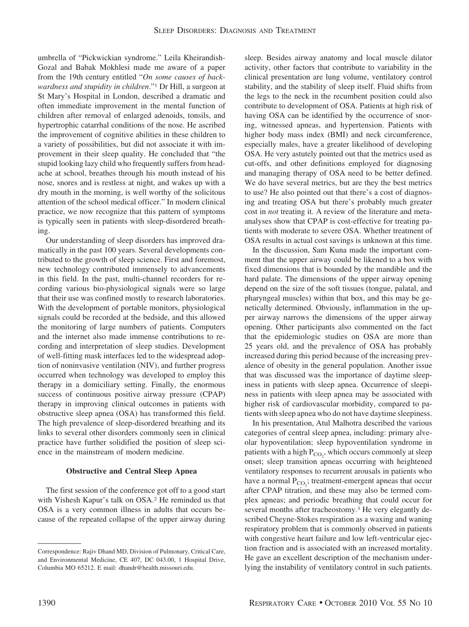umbrella of "Pickwickian syndrome." Leila Kheirandish-Gozal and Babak Mokhlesi made me aware of a paper from the 19th century entitled "*On some causes of backwardness and stupidity in children*."1 Dr Hill, a surgeon at St Mary's Hospital in London, described a dramatic and often immediate improvement in the mental function of children after removal of enlarged adenoids, tonsils, and hypertrophic catarrhal conditions of the nose. He ascribed the improvement of cognitive abilities in these children to a variety of possibilities, but did not associate it with improvement in their sleep quality. He concluded that "the stupid looking lazy child who frequently suffers from headache at school, breathes through his mouth instead of his nose, snores and is restless at night, and wakes up with a dry mouth in the morning, is well worthy of the solicitous attention of the school medical officer." In modern clinical practice, we now recognize that this pattern of symptoms is typically seen in patients with sleep-disordered breathing.

Our understanding of sleep disorders has improved dramatically in the past 100 years. Several developments contributed to the growth of sleep science. First and foremost, new technology contributed immensely to advancements in this field. In the past, multi-channel recorders for recording various bio-physiological signals were so large that their use was confined mostly to research laboratories. With the development of portable monitors, physiological signals could be recorded at the bedside, and this allowed the monitoring of large numbers of patients. Computers and the internet also made immense contributions to recording and interpretation of sleep studies. Development of well-fitting mask interfaces led to the widespread adoption of noninvasive ventilation (NIV), and further progress occurred when technology was developed to employ this therapy in a domiciliary setting. Finally, the enormous success of continuous positive airway pressure (CPAP) therapy in improving clinical outcomes in patients with obstructive sleep apnea (OSA) has transformed this field. The high prevalence of sleep-disordered breathing and its links to several other disorders commonly seen in clinical practice have further solidified the position of sleep science in the mainstream of modern medicine.

## **Obstructive and Central Sleep Apnea**

The first session of the conference got off to a good start with Vishesh Kapur's talk on OSA.2 He reminded us that OSA is a very common illness in adults that occurs because of the repeated collapse of the upper airway during sleep. Besides airway anatomy and local muscle dilator activity, other factors that contribute to variability in the clinical presentation are lung volume, ventilatory control stability, and the stability of sleep itself. Fluid shifts from the legs to the neck in the recumbent position could also contribute to development of OSA. Patients at high risk of having OSA can be identified by the occurrence of snoring, witnessed apneas, and hypertension. Patients with higher body mass index (BMI) and neck circumference, especially males, have a greater likelihood of developing OSA. He very astutely pointed out that the metrics used as cut-offs, and other definitions employed for diagnosing and managing therapy of OSA need to be better defined. We do have several metrics, but are they the best metrics to use? He also pointed out that there's a cost of diagnosing and treating OSA but there's probably much greater cost in *not* treating it. A review of the literature and metaanalyses show that CPAP is cost-effective for treating patients with moderate to severe OSA. Whether treatment of OSA results in actual cost savings is unknown at this time.

In the discussion, Sam Kuna made the important comment that the upper airway could be likened to a box with fixed dimensions that is bounded by the mandible and the hard palate. The dimensions of the upper airway opening depend on the size of the soft tissues (tongue, palatal, and pharyngeal muscles) within that box, and this may be genetically determined. Obviously, inflammation in the upper airway narrows the dimensions of the upper airway opening. Other participants also commented on the fact that the epidemiologic studies on OSA are more than 25 years old, and the prevalence of OSA has probably increased during this period because of the increasing prevalence of obesity in the general population. Another issue that was discussed was the importance of daytime sleepiness in patients with sleep apnea. Occurrence of sleepiness in patients with sleep apnea may be associated with higher risk of cardiovascular morbidity, compared to patients with sleep apnea who do not have daytime sleepiness.

In his presentation, Atul Malhotra described the various categories of central sleep apnea, including: primary alveolar hypoventilation; sleep hypoventilation syndrome in patients with a high  $P_{CO_2}$ , which occurs commonly at sleep onset; sleep transition apneas occurring with heightened ventilatory responses to recurrent arousals in patients who have a normal  $P_{CO_2}$ ; treatment-emergent apneas that occur after CPAP titration, and these may also be termed complex apneas; and periodic breathing that could occur for several months after tracheostomy.<sup>3</sup> He very elegantly described Cheyne-Stokes respiration as a waxing and waning respiratory problem that is commonly observed in patients with congestive heart failure and low left-ventricular ejection fraction and is associated with an increased mortality. He gave an excellent description of the mechanism underlying the instability of ventilatory control in such patients.

Correspondence: Rajiv Dhand MD, Division of Pulmonary, Critical Care, and Environmental Medicine, CE 407, DC 043.00, 1 Hospital Drive, Columbia MO 65212. E mail: dhandr@health.missouri.edu.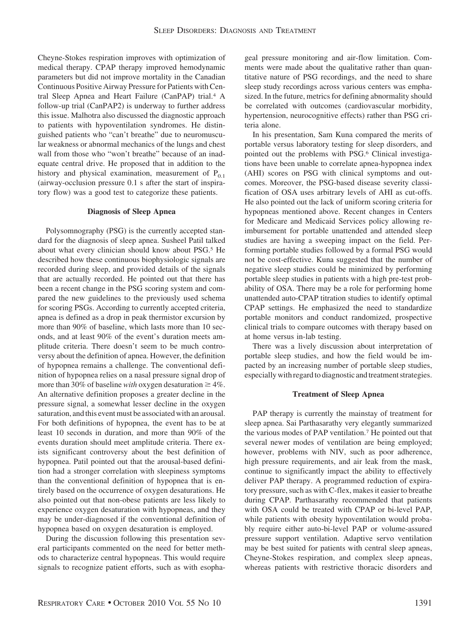Cheyne-Stokes respiration improves with optimization of medical therapy. CPAP therapy improved hemodynamic parameters but did not improve mortality in the Canadian Continuous Positive Airway Pressure for Patients with Central Sleep Apnea and Heart Failure (CanPAP) trial.4 A follow-up trial (CanPAP2) is underway to further address this issue. Malhotra also discussed the diagnostic approach to patients with hypoventilation syndromes. He distinguished patients who "can't breathe" due to neuromuscular weakness or abnormal mechanics of the lungs and chest wall from those who "won't breathe" because of an inadequate central drive. He proposed that in addition to the history and physical examination, measurement of  $P_{0,1}$ (airway-occlusion pressure 0.1 s after the start of inspiratory flow) was a good test to categorize these patients.

## **Diagnosis of Sleep Apnea**

Polysomnography (PSG) is the currently accepted standard for the diagnosis of sleep apnea. Susheel Patil talked about what every clinician should know about PSG.5 He described how these continuous biophysiologic signals are recorded during sleep, and provided details of the signals that are actually recorded. He pointed out that there has been a recent change in the PSG scoring system and compared the new guidelines to the previously used schema for scoring PSGs. According to currently accepted criteria, apnea is defined as a drop in peak thermistor excursion by more than 90% of baseline, which lasts more than 10 seconds, and at least 90% of the event's duration meets amplitude criteria. There doesn't seem to be much controversy about the definition of apnea. However, the definition of hypopnea remains a challenge. The conventional definition of hypopnea relies on a nasal pressure signal drop of more than 30% of baseline *with* oxygen desaturation  $\geq 4\%$ . An alternative definition proposes a greater decline in the pressure signal, a somewhat lesser decline in the oxygen saturation, and this event must be associated with an arousal. For both definitions of hypopnea, the event has to be at least 10 seconds in duration, and more than 90% of the events duration should meet amplitude criteria. There exists significant controversy about the best definition of hypopnea. Patil pointed out that the arousal-based definition had a stronger correlation with sleepiness symptoms than the conventional definition of hypopnea that is entirely based on the occurrence of oxygen desaturations. He also pointed out that non-obese patients are less likely to experience oxygen desaturation with hypopneas, and they may be under-diagnosed if the conventional definition of hypopnea based on oxygen desaturation is employed.

During the discussion following this presentation several participants commented on the need for better methods to characterize central hypopneas. This would require signals to recognize patient efforts, such as with esopha-

geal pressure monitoring and air-flow limitation. Comments were made about the qualitative rather than quantitative nature of PSG recordings, and the need to share sleep study recordings across various centers was emphasized. In the future, metrics for defining abnormality should be correlated with outcomes (cardiovascular morbidity, hypertension, neurocognitive effects) rather than PSG criteria alone.

In his presentation, Sam Kuna compared the merits of portable versus laboratory testing for sleep disorders, and pointed out the problems with PSG.6 Clinical investigations have been unable to correlate apnea-hypopnea index (AHI) scores on PSG with clinical symptoms and outcomes. Moreover, the PSG-based disease severity classification of OSA uses arbitrary levels of AHI as cut-offs. He also pointed out the lack of uniform scoring criteria for hypopneas mentioned above. Recent changes in Centers for Medicare and Medicaid Services policy allowing reimbursement for portable unattended and attended sleep studies are having a sweeping impact on the field. Performing portable studies followed by a formal PSG would not be cost-effective. Kuna suggested that the number of negative sleep studies could be minimized by performing portable sleep studies in patients with a high pre-test probability of OSA. There may be a role for performing home unattended auto-CPAP titration studies to identify optimal CPAP settings. He emphasized the need to standardize portable monitors and conduct randomized, prospective clinical trials to compare outcomes with therapy based on at home versus in-lab testing.

There was a lively discussion about interpretation of portable sleep studies, and how the field would be impacted by an increasing number of portable sleep studies, especially with regard to diagnostic and treatment strategies.

## **Treatment of Sleep Apnea**

PAP therapy is currently the mainstay of treatment for sleep apnea. Sai Parthasarathy very elegantly summarized the various modes of PAP ventilation.7 He pointed out that several newer modes of ventilation are being employed; however, problems with NIV, such as poor adherence, high pressure requirements, and air leak from the mask, continue to significantly impact the ability to effectively deliver PAP therapy. A programmed reduction of expiratory pressure, such as with C-flex, makes it easier to breathe during CPAP. Parthasarathy recommended that patients with OSA could be treated with CPAP or bi-level PAP, while patients with obesity hypoventilation would probably require either auto-bi-level PAP or volume-assured pressure support ventilation. Adaptive servo ventilation may be best suited for patients with central sleep apneas, Cheyne-Stokes respiration, and complex sleep apneas, whereas patients with restrictive thoracic disorders and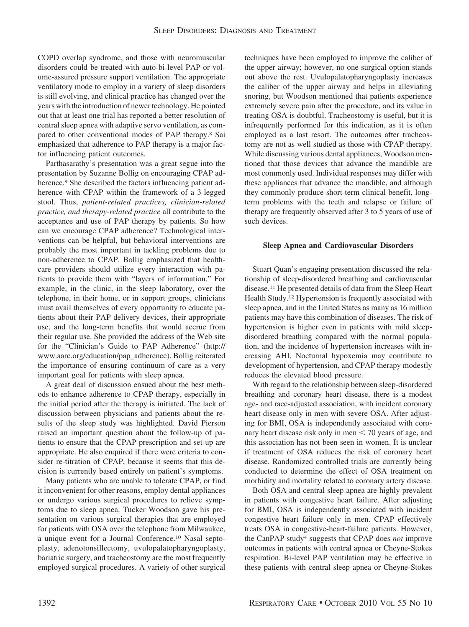COPD overlap syndrome, and those with neuromuscular disorders could be treated with auto-bi-level PAP or volume-assured pressure support ventilation. The appropriate ventilatory mode to employ in a variety of sleep disorders is still evolving, and clinical practice has changed over the years with the introduction of newer technology. He pointed out that at least one trial has reported a better resolution of central sleep apnea with adaptive servo ventilation, as compared to other conventional modes of PAP therapy.8 Sai emphasized that adherence to PAP therapy is a major factor influencing patient outcomes.

Parthasarathy's presentation was a great segue into the presentation by Suzanne Bollig on encouraging CPAP adherence.<sup>9</sup> She described the factors influencing patient adherence with CPAP within the framework of a 3-legged stool. Thus, *patient-related practices, clinician-related practice, and therapy-related practice* all contribute to the acceptance and use of PAP therapy by patients. So how can we encourage CPAP adherence? Technological interventions can be helpful, but behavioral interventions are probably the most important in tackling problems due to non-adherence to CPAP. Bollig emphasized that healthcare providers should utilize every interaction with patients to provide them with "layers of information." For example, in the clinic, in the sleep laboratory, over the telephone, in their home, or in support groups, clinicians must avail themselves of every opportunity to educate patients about their PAP delivery devices, their appropriate use, and the long-term benefits that would accrue from their regular use. She provided the address of the Web site for the "Clinician's Guide to PAP Adherence" (http:// www.aarc.org/education/pap\_adherence). Bollig reiterated the importance of ensuring continuum of care as a very important goal for patients with sleep apnea.

A great deal of discussion ensued about the best methods to enhance adherence to CPAP therapy, especially in the initial period after the therapy is initiated. The lack of discussion between physicians and patients about the results of the sleep study was highlighted. David Pierson raised an important question about the follow-up of patients to ensure that the CPAP prescription and set-up are appropriate. He also enquired if there were criteria to consider re-titration of CPAP, because it seems that this decision is currently based entirely on patient's symptoms.

Many patients who are unable to tolerate CPAP, or find it inconvenient for other reasons, employ dental appliances or undergo various surgical procedures to relieve symptoms due to sleep apnea. Tucker Woodson gave his presentation on various surgical therapies that are employed for patients with OSA over the telephone from Milwaukee, a unique event for a Journal Conference.10 Nasal septoplasty, adenotonsillectomy, uvulopalatopharyngoplasty, bariatric surgery, and tracheostomy are the most frequently employed surgical procedures. A variety of other surgical

techniques have been employed to improve the caliber of the upper airway; however, no one surgical option stands out above the rest. Uvulopalatopharyngoplasty increases the caliber of the upper airway and helps in alleviating snoring, but Woodson mentioned that patients experience extremely severe pain after the procedure, and its value in treating OSA is doubtful. Tracheostomy is useful, but it is infrequently performed for this indication, as it is often employed as a last resort. The outcomes after tracheostomy are not as well studied as those with CPAP therapy. While discussing various dental appliances, Woodson mentioned that those devices that advance the mandible are most commonly used. Individual responses may differ with these appliances that advance the mandible, and although they commonly produce short-term clinical benefit, longterm problems with the teeth and relapse or failure of therapy are frequently observed after 3 to 5 years of use of such devices.

## **Sleep Apnea and Cardiovascular Disorders**

Stuart Quan's engaging presentation discussed the relationship of sleep-disordered breathing and cardiovascular disease.11 He presented details of data from the Sleep Heart Health Study.12 Hypertension is frequently associated with sleep apnea, and in the United States as many as 16 million patients may have this combination of diseases. The risk of hypertension is higher even in patients with mild sleepdisordered breathing compared with the normal population, and the incidence of hypertension increases with increasing AHI. Nocturnal hypoxemia may contribute to development of hypertension, and CPAP therapy modestly reduces the elevated blood pressure.

With regard to the relationship between sleep-disordered breathing and coronary heart disease, there is a modest age- and race-adjusted association, with incident coronary heart disease only in men with severe OSA. After adjusting for BMI, OSA is independently associated with coronary heart disease risk only in men  $<$  70 years of age, and this association has not been seen in women. It is unclear if treatment of OSA reduces the risk of coronary heart disease. Randomized controlled trials are currently being conducted to determine the effect of OSA treatment on morbidity and mortality related to coronary artery disease.

Both OSA and central sleep apnea are highly prevalent in patients with congestive heart failure. After adjusting for BMI, OSA is independently associated with incident congestive heart failure only in men. CPAP effectively treats OSA in congestive-heart-failure patients. However, the CanPAP study4 suggests that CPAP does *not* improve outcomes in patients with central apnea or Cheyne-Stokes respiration. Bi-level PAP ventilation may be effective in these patients with central sleep apnea or Cheyne-Stokes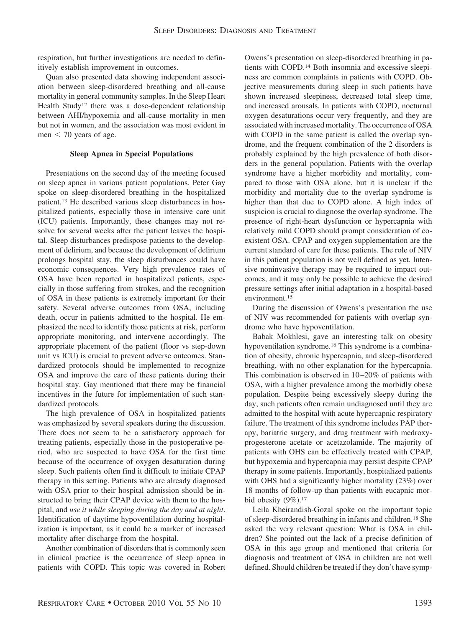respiration, but further investigations are needed to definitively establish improvement in outcomes.

Quan also presented data showing independent association between sleep-disordered breathing and all-cause mortality in general community samples. In the Sleep Heart Health Study<sup>12</sup> there was a dose-dependent relationship between AHI/hypoxemia and all-cause mortality in men but not in women, and the association was most evident in  $m$ en  $<$  70 years of age.

#### **Sleep Apnea in Special Populations**

Presentations on the second day of the meeting focused on sleep apnea in various patient populations. Peter Gay spoke on sleep-disordered breathing in the hospitalized patient.13 He described various sleep disturbances in hospitalized patients, especially those in intensive care unit (ICU) patients. Importantly, these changes may not resolve for several weeks after the patient leaves the hospital. Sleep disturbances predispose patients to the development of delirium, and because the development of delirium prolongs hospital stay, the sleep disturbances could have economic consequences. Very high prevalence rates of OSA have been reported in hospitalized patients, especially in those suffering from strokes, and the recognition of OSA in these patients is extremely important for their safety. Several adverse outcomes from OSA, including death, occur in patients admitted to the hospital. He emphasized the need to identify those patients at risk, perform appropriate monitoring, and intervene accordingly. The appropriate placement of the patient (floor vs step-down unit vs ICU) is crucial to prevent adverse outcomes. Standardized protocols should be implemented to recognize OSA and improve the care of these patients during their hospital stay. Gay mentioned that there may be financial incentives in the future for implementation of such standardized protocols.

The high prevalence of OSA in hospitalized patients was emphasized by several speakers during the discussion. There does not seem to be a satisfactory approach for treating patients, especially those in the postoperative period, who are suspected to have OSA for the first time because of the occurrence of oxygen desaturation during sleep. Such patients often find it difficult to initiate CPAP therapy in this setting. Patients who are already diagnosed with OSA prior to their hospital admission should be instructed to bring their CPAP device with them to the hospital, and *use it while sleeping during the day and at night*. Identification of daytime hypoventilation during hospitalization is important, as it could be a marker of increased mortality after discharge from the hospital.

Another combination of disorders that is commonly seen in clinical practice is the occurrence of sleep apnea in patients with COPD. This topic was covered in Robert Owens's presentation on sleep-disordered breathing in patients with COPD.14 Both insomnia and excessive sleepiness are common complaints in patients with COPD. Objective measurements during sleep in such patients have shown increased sleepiness, decreased total sleep time, and increased arousals. In patients with COPD, nocturnal oxygen desaturations occur very frequently, and they are associated with increased mortality. The occurrence of OSA with COPD in the same patient is called the overlap syndrome, and the frequent combination of the 2 disorders is probably explained by the high prevalence of both disorders in the general population. Patients with the overlap syndrome have a higher morbidity and mortality, compared to those with OSA alone, but it is unclear if the morbidity and mortality due to the overlap syndrome is higher than that due to COPD alone. A high index of suspicion is crucial to diagnose the overlap syndrome. The presence of right-heart dysfunction or hypercapnia with relatively mild COPD should prompt consideration of coexistent OSA. CPAP and oxygen supplementation are the current standard of care for these patients. The role of NIV in this patient population is not well defined as yet. Intensive noninvasive therapy may be required to impact outcomes, and it may only be possible to achieve the desired pressure settings after initial adaptation in a hospital-based environment.15

During the discussion of Owens's presentation the use of NIV was recommended for patients with overlap syndrome who have hypoventilation.

Babak Mokhlesi, gave an interesting talk on obesity hypoventilation syndrome.16 This syndrome is a combination of obesity, chronic hypercapnia, and sleep-disordered breathing, with no other explanation for the hypercapnia. This combination is observed in 10 –20% of patients with OSA, with a higher prevalence among the morbidly obese population. Despite being excessively sleepy during the day, such patients often remain undiagnosed until they are admitted to the hospital with acute hypercapnic respiratory failure. The treatment of this syndrome includes PAP therapy, bariatric surgery, and drug treatment with medroxyprogesterone acetate or acetazolamide. The majority of patients with OHS can be effectively treated with CPAP, but hypoxemia and hypercapnia may persist despite CPAP therapy in some patients. Importantly, hospitalized patients with OHS had a significantly higher mortality (23%) over 18 months of follow-up than patients with eucapnic morbid obesity  $(9\%)$ .<sup>17</sup>

Leila Kheirandish-Gozal spoke on the important topic of sleep-disordered breathing in infants and children.18 She asked the very relevant question: What is OSA in children? She pointed out the lack of a precise definition of OSA in this age group and mentioned that criteria for diagnosis and treatment of OSA in children are not well defined. Should children be treated if they don't have symp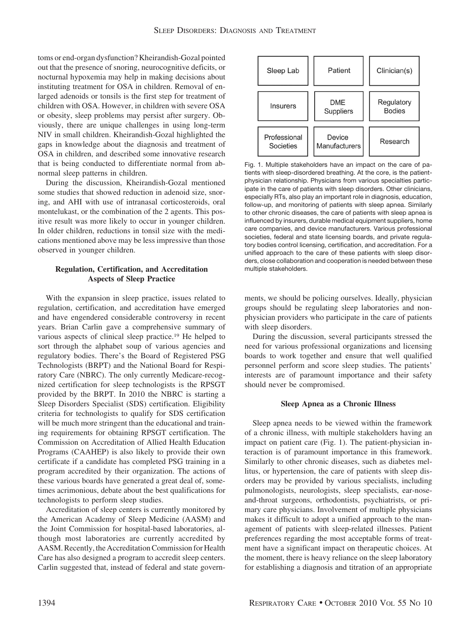toms or end-organ dysfunction? Kheirandish-Gozal pointed out that the presence of snoring, neurocognitive deficits, or nocturnal hypoxemia may help in making decisions about instituting treatment for OSA in children. Removal of enlarged adenoids or tonsils is the first step for treatment of children with OSA. However, in children with severe OSA or obesity, sleep problems may persist after surgery. Obviously, there are unique challenges in using long-term NIV in small children. Kheirandish-Gozal highlighted the gaps in knowledge about the diagnosis and treatment of OSA in children, and described some innovative research that is being conducted to differentiate normal from abnormal sleep patterns in children.

During the discussion, Kheirandish-Gozal mentioned some studies that showed reduction in adenoid size, snoring, and AHI with use of intranasal corticosteroids, oral montelukast, or the combination of the 2 agents. This positive result was more likely to occur in younger children. In older children, reductions in tonsil size with the medications mentioned above may be less impressive than those observed in younger children.

## **Regulation, Certification, and Accreditation Aspects of Sleep Practice**

With the expansion in sleep practice, issues related to regulation, certification, and accreditation have emerged and have engendered considerable controversy in recent years. Brian Carlin gave a comprehensive summary of various aspects of clinical sleep practice.19 He helped to sort through the alphabet soup of various agencies and regulatory bodies. There's the Board of Registered PSG Technologists (BRPT) and the National Board for Respiratory Care (NBRC). The only currently Medicare-recognized certification for sleep technologists is the RPSGT provided by the BRPT. In 2010 the NBRC is starting a Sleep Disorders Specialist (SDS) certification. Eligibility criteria for technologists to qualify for SDS certification will be much more stringent than the educational and training requirements for obtaining RPSGT certification. The Commission on Accreditation of Allied Health Education Programs (CAAHEP) is also likely to provide their own certificate if a candidate has completed PSG training in a program accredited by their organization. The actions of these various boards have generated a great deal of, sometimes acrimonious, debate about the best qualifications for technologists to perform sleep studies.

Accreditation of sleep centers is currently monitored by the American Academy of Sleep Medicine (AASM) and the Joint Commission for hospital-based laboratories, although most laboratories are currently accredited by AASM. Recently, the Accreditation Commission for Health Care has also designed a program to accredit sleep centers. Carlin suggested that, instead of federal and state govern-



Fig. 1. Multiple stakeholders have an impact on the care of patients with sleep-disordered breathing. At the core, is the patientphysician relationship. Physicians from various specialties participate in the care of patients with sleep disorders. Other clinicians, especially RTs, also play an important role in diagnosis, education, follow-up, and monitoring of patients with sleep apnea. Similarly to other chronic diseases, the care of patients with sleep apnea is influenced by insurers, durable medical equipment suppliers, home care companies, and device manufacturers. Various professional societies, federal and state licensing boards, and private regulatory bodies control licensing, certification, and accreditation. For a unified approach to the care of these patients with sleep disorders, close collaboration and cooperation is needed between these multiple stakeholders.

ments, we should be policing ourselves. Ideally, physician groups should be regulating sleep laboratories and nonphysician providers who participate in the care of patients with sleep disorders.

During the discussion, several participants stressed the need for various professional organizations and licensing boards to work together and ensure that well qualified personnel perform and score sleep studies. The patients' interests are of paramount importance and their safety should never be compromised.

## **Sleep Apnea as a Chronic Illness**

Sleep apnea needs to be viewed within the framework of a chronic illness, with multiple stakeholders having an impact on patient care (Fig. 1). The patient-physician interaction is of paramount importance in this framework. Similarly to other chronic diseases, such as diabetes mellitus, or hypertension, the care of patients with sleep disorders may be provided by various specialists, including pulmonologists, neurologists, sleep specialists, ear-noseand-throat surgeons, orthodontists, psychiatrists, or primary care physicians. Involvement of multiple physicians makes it difficult to adopt a unified approach to the management of patients with sleep-related illnesses. Patient preferences regarding the most acceptable forms of treatment have a significant impact on therapeutic choices. At the moment, there is heavy reliance on the sleep laboratory for establishing a diagnosis and titration of an appropriate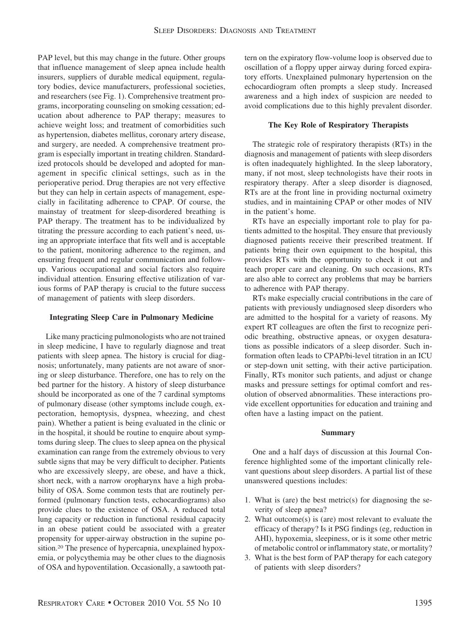PAP level, but this may change in the future. Other groups that influence management of sleep apnea include health insurers, suppliers of durable medical equipment, regulatory bodies, device manufacturers, professional societies, and researchers (see Fig. 1). Comprehensive treatment programs, incorporating counseling on smoking cessation; education about adherence to PAP therapy; measures to achieve weight loss; and treatment of comorbidities such as hypertension, diabetes mellitus, coronary artery disease, and surgery, are needed. A comprehensive treatment program is especially important in treating children. Standardized protocols should be developed and adopted for management in specific clinical settings, such as in the perioperative period. Drug therapies are not very effective but they can help in certain aspects of management, especially in facilitating adherence to CPAP. Of course, the mainstay of treatment for sleep-disordered breathing is PAP therapy. The treatment has to be individualized by titrating the pressure according to each patient's need, using an appropriate interface that fits well and is acceptable to the patient, monitoring adherence to the regimen, and ensuring frequent and regular communication and followup. Various occupational and social factors also require individual attention. Ensuring effective utilization of various forms of PAP therapy is crucial to the future success of management of patients with sleep disorders.

## **Integrating Sleep Care in Pulmonary Medicine**

Like many practicing pulmonologists who are not trained in sleep medicine, I have to regularly diagnose and treat patients with sleep apnea. The history is crucial for diagnosis; unfortunately, many patients are not aware of snoring or sleep disturbance. Therefore, one has to rely on the bed partner for the history. A history of sleep disturbance should be incorporated as one of the 7 cardinal symptoms of pulmonary disease (other symptoms include cough, expectoration, hemoptysis, dyspnea, wheezing, and chest pain). Whether a patient is being evaluated in the clinic or in the hospital, it should be routine to enquire about symptoms during sleep. The clues to sleep apnea on the physical examination can range from the extremely obvious to very subtle signs that may be very difficult to decipher. Patients who are excessively sleepy, are obese, and have a thick, short neck, with a narrow oropharynx have a high probability of OSA. Some common tests that are routinely performed (pulmonary function tests, echocardiograms) also provide clues to the existence of OSA. A reduced total lung capacity or reduction in functional residual capacity in an obese patient could be associated with a greater propensity for upper-airway obstruction in the supine position.20 The presence of hypercapnia, unexplained hypoxemia, or polycythemia may be other clues to the diagnosis of OSA and hypoventilation. Occasionally, a sawtooth pat-

tern on the expiratory flow-volume loop is observed due to oscillation of a floppy upper airway during forced expiratory efforts. Unexplained pulmonary hypertension on the echocardiogram often prompts a sleep study. Increased awareness and a high index of suspicion are needed to avoid complications due to this highly prevalent disorder.

## **The Key Role of Respiratory Therapists**

The strategic role of respiratory therapists (RTs) in the diagnosis and management of patients with sleep disorders is often inadequately highlighted. In the sleep laboratory, many, if not most, sleep technologists have their roots in respiratory therapy. After a sleep disorder is diagnosed, RTs are at the front line in providing nocturnal oximetry studies, and in maintaining CPAP or other modes of NIV in the patient's home.

RTs have an especially important role to play for patients admitted to the hospital. They ensure that previously diagnosed patients receive their prescribed treatment. If patients bring their own equipment to the hospital, this provides RTs with the opportunity to check it out and teach proper care and cleaning. On such occasions, RTs are also able to correct any problems that may be barriers to adherence with PAP therapy.

RTs make especially crucial contributions in the care of patients with previously undiagnosed sleep disorders who are admitted to the hospital for a variety of reasons. My expert RT colleagues are often the first to recognize periodic breathing, obstructive apneas, or oxygen desaturations as possible indicators of a sleep disorder. Such information often leads to CPAP/bi-level titration in an ICU or step-down unit setting, with their active participation. Finally, RTs monitor such patients, and adjust or change masks and pressure settings for optimal comfort and resolution of observed abnormalities. These interactions provide excellent opportunities for education and training and often have a lasting impact on the patient.

## **Summary**

One and a half days of discussion at this Journal Conference highlighted some of the important clinically relevant questions about sleep disorders. A partial list of these unanswered questions includes:

- 1. What is (are) the best metric(s) for diagnosing the severity of sleep apnea?
- 2. What outcome(s) is (are) most relevant to evaluate the efficacy of therapy? Is it PSG findings (eg, reduction in AHI), hypoxemia, sleepiness, or is it some other metric of metabolic control or inflammatory state, or mortality?
- 3. What is the best form of PAP therapy for each category of patients with sleep disorders?